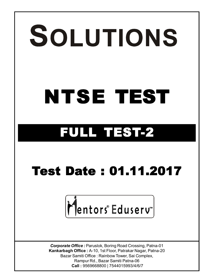# SOLUTIONS **NTSE TEST FULL TEST-2 Test Date : 01.11.2017**Mentors®Eduserv *Corporate Office :* Paruslok, Boring Road Crossing, Patna-01 **Kankarbagh Office :** A-10, 1st Floor, Patrakar Nagar, Patna-20 Bazar Samiti Office : Rainbow Tower, Sai Complex, Rampur Rd., Bazar Samiti Patna-06

 **Call :** 9569668800 | 7544015993/4/6/7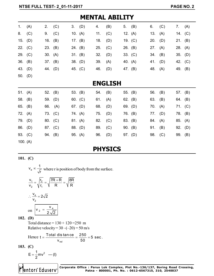|           | IML MDILII I   |           |           |         |           |     |     |  |           |     |     |         |           |
|-----------|----------------|-----------|-----------|---------|-----------|-----|-----|--|-----------|-----|-----|---------|-----------|
| 1.        | (A)            | 2.        | (C)       |         | 3. (D)    | 4.  | (B) |  | 5. $(B)$  | 6.  | (C) | 7.      | (A)       |
| 8.        | (C)            | 9.        | (C)       |         | 10. $(A)$ | 11. | (C) |  | 12. $(A)$ | 13. | (A) |         | 14. $(C)$ |
| 15.       | (D)            | 16.       | (B)       |         | 17. $(B)$ | 18. | (D) |  | 19. $(C)$ | 20. | (D) | 21.     | (B)       |
| 22. $(C)$ |                | 23.       | (B)       | 24. (B) |           | 25. | (C) |  | 26. (B)   | 27. | (A) | 28.     | (A)       |
| 29. (C)   |                | 30. $(A)$ |           | 31. (B) |           | 32. | (D) |  | 33. (C)   | 34. | (B) | 35. (D) |           |
| 36.       | (B)            | 37. (B)   |           |         | 38. (D)   | 39. | (A) |  | 40. (A)   | 41. | (D) | 42. (C) |           |
|           | 43. (D)        | 44. (D)   |           |         | 45. (C)   | 46. | (D) |  | 47. (B)   | 48. | (A) | 49. (B) |           |
|           | 50. $(D)$      |           |           |         |           |     |     |  |           |     |     |         |           |
|           | <b>ENGLISH</b> |           |           |         |           |     |     |  |           |     |     |         |           |
| 51. $(A)$ |                | 52. (B)   |           |         | 53. (B)   | 54. | (B) |  | 55. (B)   | 56. | (B) | 57. (B) |           |
| 58.       | (B)            |           | 59. (D)   |         | 60. $(C)$ | 61. | (A) |  | 62. $(B)$ | 63. | (B) | 64. (B) |           |
| 65. (B)   |                |           | 66. (A)   |         | 67. $(D)$ | 68. | (D) |  | 69. $(D)$ | 70. | (A) |         | 71. $(C)$ |
| 72. (A)   |                |           | 73. $(C)$ | 74. (A) |           | 75. | (D) |  | 76. (B)   | 77. | (D) | 78. (B) |           |
|           | 79. (D)        | 80. (C)   |           | 81. (A) |           | 82. | (C) |  | 83. (B)   | 84. | (A) | 85. (A) |           |
|           | 86. (D)        | 87. (C)   |           |         | 88. (D)   | 89. | (C) |  | 90. (B)   | 91. | (B) | 92. (D) |           |
|           | 93. $(C)$      |           | 94. (B)   | 95. (A) |           | 96. | (D) |  | 97. (D)   | 98. | (C) | 99. (B) |           |
|           | 100. $(A)$     |           |           |         |           |     |     |  |           |     |     |         |           |

**MENTAL ABILITY**

### **PHYSICS**

**101. (C)**

e  $v_e \propto \frac{1}{\tau}$  $\propto \frac{1}{\sqrt{r}}$  where r is position of body from the surface.  $1 - \frac{12}{2}$ 2 V '1  $v_1$   $r_2$  /7R + R /8R v<sub>2</sub>  $\forall$ r<sub>1</sub>  $\forall$  R  $\forall$  R  $=\sqrt{\frac{r_2}{r_1}}=\sqrt{\frac{7R+R}{R}}=$ e 2  $\frac{V_e}{V} = 2\sqrt{2}$ v  $\therefore \frac{e}{e} = 2$ on  $V_2 = \frac{v_e}{2}$  $V_2 = \frac{V}{I}$  $2\sqrt{2}$  $=$ **102. (D)** Total distance =  $130 + 120 = 250$  m Relative velocity =  $30 - (-20) = 50$  m/s Hence rel  $t = \frac{\text{Total distance}}{\text{.}} = \frac{250}{\text{.}} = 5 \text{ sec}.$  $v_{\rm rel}$  50  $=\frac{10 \text{tan } \theta \cdot \theta \cdot \theta \cdot \theta}{50} = \frac{200}{50} = \frac{1}{2}$ 

**103. (C)**

$$
E=\frac{1}{2}mv^2 \quad - (I)
$$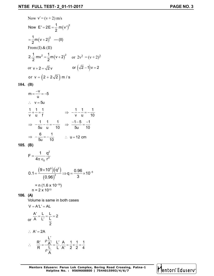Now 
$$
v' = (v + 2)
$$
 m/s  
\nNow  $E' = 2E = \frac{1}{2} m(v')^2$   
\n $= \frac{1}{2} m(v + 2)^2$  - (II)  
\nFrom (I) & (II)  
\n $2.\frac{1}{2} mv^2 = \frac{1}{2} m(v + 2)^2$  or  $2v^2 = (v + 2)^2$   
\nor  $v + 2 = \sqrt{2} v$  or  $(\sqrt{2} - 1)v = 2$   
\nor  $v = (2 + 2\sqrt{2}) m/s$ 

$$
104. (B)
$$

$$
m = \frac{-v}{u} = -5
$$
  
\n
$$
\therefore v = 5u
$$
  
\n
$$
\frac{1}{v} + \frac{1}{u} = \frac{1}{f}
$$
  
\n
$$
\Rightarrow -\frac{1}{5u} - \frac{1}{u} = -\frac{1}{10}
$$
  
\n
$$
\Rightarrow -\frac{6}{5u} = -\frac{1}{10}
$$
  
\n
$$
\therefore u = 12 \text{ cm}
$$

$$
105. (B)
$$

$$
F = \frac{1}{4\pi \epsilon_0} \frac{q^2}{r^2}
$$
  
0.1 =  $\frac{(9 \times 10^9)(q^2)}{(0.96)^2} \Rightarrow q = \frac{0.96}{3} \times 10^{-5}$   
= n (1.6 x 10<sup>-19</sup>)  
n = 2 x 10<sup>13</sup>

#### **106. (A)**

Volume is same in both cases

$$
V = A'L' = AL
$$
\n
$$
\frac{A'}{A} = \frac{L}{L'} = \frac{L}{L} = 2
$$
\n
$$
\therefore A' = 2A
$$
\n
$$
\therefore \frac{R'}{R} = \frac{\rho \frac{L'}{A'}}{\rho \frac{L}{A}} = \frac{L'}{L} \cdot \frac{A}{A'} = \frac{1}{2} \times \frac{1}{2} = \frac{1}{4}
$$

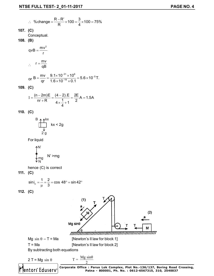$$
\therefore \text{ %change} = \frac{R - R'}{R} \times 100 = \frac{3}{4} \times 100 = 75\%
$$
  
**107. (C)**  
Conceptual.  
**108. (B)**  

$$
qvB = \frac{mv^2}{r}
$$
  

$$
\therefore r = \frac{mv}{qB}
$$

or B = 
$$
\frac{mv}{qr}
$$
 =  $\frac{9.1 \times 10^{-31} \times 10^6}{1.6 \times 10^{-19} \times 0.1}$  = 5.6 × 10<sup>-5</sup> T.

**109. (C)**

$$
I = \frac{(n-2m)E}{nr+R} = \frac{(4-2).E}{4 \times \frac{1}{4} + 1} = \frac{2E}{2} A = 1.5A
$$

**110. (C)**

$$
\begin{array}{c}\n\mathsf{B} \\
\uparrow \\
\downarrow \\
2\,\mathsf{g}\n\end{array}\n\quad \mathsf{kx} < 2\mathsf{g}
$$

For liquid

$$
\bigoplus_{\substack{m \text{mod} \\ N}}^{N'} N' \ge mg
$$

hence (C) is correct

**111. (C)**

$$
\sin i_c = \frac{1}{\mu} = \frac{2}{3} = \cos 48^\circ = \sin 42^\circ
$$

**112. (C)**

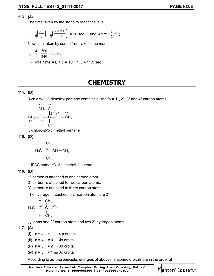lentors® Eduserv™

#### **113. (A)**

The time taken by the stone to reach the lake

$$
t_1 = \sqrt{\left(\frac{2h}{g}\right)} = \sqrt{\left(\frac{2 \times 500}{10}\right)} = 10 \text{ sec (Using } h = ut + \frac{1}{2}gt^2)
$$

Now time taken by sound from lake to the man

$$
t_2 = \frac{h}{v} = \frac{500}{340} = 1.5 \text{ sec}
$$

⇒ Total time =  $t_1 + t_2 = 10 + 1.5 = 11.5$  sec.

## **CHEMISTRY**

#### **114. (B)**

3-chloro-2, 3-dimethyl pentane contains all the four 1°, 2°, 3° and 4° carbon atoms.

$$
\begin{array}{ccccc}\n & 1^{\circ} & 1^{\circ} & & \\
 & CH_3 & CH_3 & & \\
 & | & 14^{\circ} & 2^{\circ} & 1^{\circ} & \\
 CH_3\text{--CH}\text{--C}\text{--CH}_2\text{--CH}_3 & & \\
 1^{\circ} & 3^{\circ} & | & & \\
 & & & & \\
\end{array}
$$

3-chloro-2-3-dimethyl pentane

**115. (D)**

$$
H_3 \overset{\text{CH}_3}{C} - \overset{1}{C} - \overset{1}{C}H = \overset{1}{C}H_2
$$
\n
$$
CH_3
$$

IUPAC name =3, 3-dimethyl-1-butene.

#### **116. (D)**

1° carbon is attached to one carbon atom.

2° carbon is attached to two carbon atoms.

3° carbon is attached to three carbon atoms.

The hydrogen attached to 2° carbon atom are 2°.

$$
H_3^{\dagger}C - C^2 \begin{bmatrix} H & CH_3 \\ I_4 & I_5 \\ C & C \\ I & I \\ H & CH_3 \end{bmatrix}^{\dagger}H_3
$$

 $\therefore$  It has one 2° carbon atom and two 2° hydrogen atoms.

#### **117. (A)**

- (i)  $n = 4$ ,  $l = 1 \implies 4$  p orbital
- (ii)  $n = 4$ ,  $l = 0 \implies 4s$  orbital
- (iii)  $n = 3$ ,  $l = 2 \implies$  3d orbital
- (iv)  $n = 3$ ,  $l = 1 \implies 3p$  orbital

According to aufbau principle, energies of above mentioned orbitals are in the order of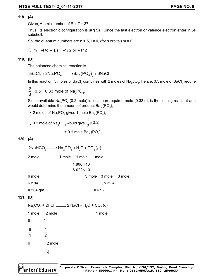#### **118. (A)**

Given, Atomic number of Rb,  $Z = 37$ 

Thus, its electronic configuration is [Kr] 5s<sup>1</sup>. Since the last electron or valence electron enter in 5s subshell.

So, the quantum numbers are  $n = 5$ ,  $l = 0$ , (for s orbital)  $m = 0$ 

 $(:. m = +1 to -1), s = +1/ 2$  or  $-1/ 2$ 

#### **119. (D)**

The balanced chemical reaction is

 $3 \textsf{BaCl}_2 + 2 \textsf{Na}_3 \textsf{PO}_4 {\longrightarrow} \textsf{Ba}_3 \big(\textsf{PO}_4\big)_2 + 6 \textsf{NaCl}_4$ 

In this reaction, 3 moles of BaCl<sub>2</sub> combines with 2 moles of Na<sub>3</sub>pO<sub>4</sub>. Hence, 0.5 mole of BaCl<sub>2</sub> require

 $3'$   $\sim$  4  $\frac{2}{3}$  × 0.5 = 0.33 mole of Na<sub>3</sub>PO<sub>4</sub>. 3  $\times$  0.5 = 0

Since available Na $_{3}$ PO $_{4}$  (0.2 mole) is less than required mole (0.33), it is the limiting reactant and would determine the amount of product Ba $_{_3}$  (PO $_{4})_{_2}$ .

 $\therefore$  2 moles of Na<sub>3</sub>PO<sub>4</sub> gives 1 mole Ba<sub>3</sub> (PO<sub>4</sub>)<sub>2</sub>

 $\therefore$  0.2 mole of Na<sub>3</sub>PO<sub>4</sub> would give  $\frac{1}{2}$  × 0.2 2  $\times$ = 0.1 mole Ba $_{3}$  (PO $_{4})_{2}$ 

#### **120. (A)**

 $2$ NaHCO<sub>3</sub>  $\longrightarrow$ Na<sub>2</sub>CO<sub>3</sub> + H<sub>2</sub>O + CO<sub>2</sub>(g)

| 2 mole      | 1 mole 1 mole 1 mole |  |                      |  |  |  |  |  |  |  |  |
|-------------|----------------------|--|----------------------|--|--|--|--|--|--|--|--|
|             | $1.806 \times 10$    |  |                      |  |  |  |  |  |  |  |  |
|             | $6.022 \times 10$    |  |                      |  |  |  |  |  |  |  |  |
| 6 mole      |                      |  | 3 mole 3 mole 3 mole |  |  |  |  |  |  |  |  |
| 6 x 84      |                      |  | $3 \times 22.4$      |  |  |  |  |  |  |  |  |
| $= 504$ gm. | $= 67.2 L$           |  |                      |  |  |  |  |  |  |  |  |

#### **121. (B)**

 $\mathsf{Na}_2\mathrm{CO}_3^-$  + 2HCl  $\longrightarrow$  2 NaCl + H $_2\mathrm{O}$  + CO $_2^{\phantom{\dag}}$  (g) 1 mole 2 mole 2 mole 1 mole

6 4  
\n
$$
\frac{6}{1} \qquad \frac{4}{2}
$$
\n6  
\n2 mole  
\n
$$
\downarrow
$$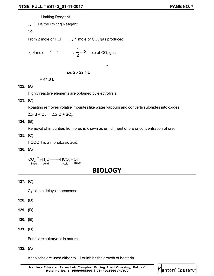Limiting Reagent

: HCl is the limiting Reagent.

So,

From 2 mole of HCl  $\,\_\_\_\,\,$  1 mole of CO $_2$  gas produced

$$
\therefore \text{ 4 mole } \text{`` } \longrightarrow \frac{4}{2} = 2 \text{ mole of CO}_2 \text{ gas}
$$

 $\downarrow$ 

i.e. 2 x 22.4 L

 $= 44.8 L$ 

#### **122. (A)**

Highly reactive elements are obtained by electrolysis.

#### **123. (C)**

Roasting removes volatile impurites like water vapours and converts sulphides into oxides.

 $2ZnS + O<sub>2</sub> \rightarrow 2ZnO + SO<sub>2</sub>$ 

**124. (B)**

Removal of impurities from ores is known as enrichment of ore or concentration of ore.

**125. (C)**

HCOOH is a monobasic acid.

**126. (A)**

 $\text{CO}_3^{-2} + \text{H}_2\text{O} \longrightarrow \text{HCO}_3^- + \text{OH}^-$ <br>Base Acid Acid Base

## **BIOLOGY**

#### **127. (C)**

Cytokinin delays senescense

- **128. (D)**
- **129. (B)**
- **130. (B)**
- **131. (B)**

Fungi are eukaryotic in nature.

**132. (A)**

Antibiotics are used either to kill or inhibit the growth of bacteria

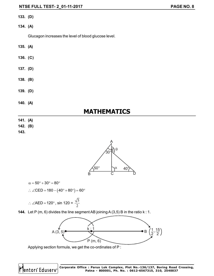- **133. (D)**
- **134. (A)**

Glucagon increases the level of blood glucose level.

- **135. (A)**
- **136. (C)**
- **137. (D)**
- **138. (B)**
- **139. (D)**
- **140. (A)**

## **MATHEMATICS**

- **141. (A)**
- **142. (B)**
- **143.**



$$
\alpha=50^{\circ}+30^{\circ}=80^{\circ}
$$

**Jentors** Eduserv

$$
\therefore \angle \text{CED} = 180 - (40^{\circ} + 80^{\circ}) = 60^{\circ}
$$

$$
\therefore \angle AED = 120^{\circ}, \text{ sin } 120 = \frac{\sqrt{3}}{2}
$$

**144.** Let P (m, 6) divides the line segment AB joining A (3,5) B in the ratio k : 1.



Applying section formula, we get the co-ordinates of P :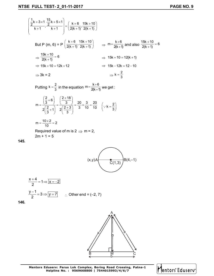$$
\left(\frac{\frac{1}{2}k+3\times1}{k+1}, \frac{\frac{15}{2}k+5\times1}{k+1}\right) = \left(\frac{k+6}{2(k+1)}, \frac{15k+10}{2(k+1)}\right)
$$
\n
$$
\text{But P (m, 6) = P\left(\frac{k+6}{2(k+1)}, \frac{15k+10}{2(k+1)}\right) \Rightarrow m = \frac{k+6}{2(k+1)} \text{ and also } \frac{15k+10}{2(k+1)} = 6
$$
\n
$$
\Rightarrow \frac{15k+10}{2(k+1)} = 6 \Rightarrow 15k+10 = 12(k+1)
$$
\n
$$
\Rightarrow 15k+10 = 12k+12 \Rightarrow 15k-12k = 12-10
$$
\n
$$
\Rightarrow 3k = 2 \qquad \Rightarrow k = \frac{2}{3}
$$
\n
$$
\text{Putting } k = \frac{2}{3} \text{ in the equation } m = \frac{k+6}{2(k+1)} \text{ we get :}
$$
\n
$$
m = \frac{\left(\frac{2}{3}+6\right)}{2\left(\frac{2}{3}+1\right)} = \frac{\left(\frac{2+18}{3}\right)}{2\left(\frac{2+3}{3}\right)} = \frac{20}{3} \times \frac{3}{10} = \frac{20}{10} \quad (\because k = \frac{2}{3})
$$
\n
$$
m = \frac{10 \times 2}{10} = 2
$$
\n
$$
\text{Required value of m is } 2 \Rightarrow m = 2,
$$
\n
$$
2m + 1 = 5
$$



$$
\frac{x+4}{2} = 1 \Rightarrow \boxed{x = -2}
$$
  

$$
\frac{y-1}{2} = 3 \Rightarrow \boxed{y = 7} \qquad \therefore \text{ Other end } = (-2, 7)
$$

**146.**

**145.**



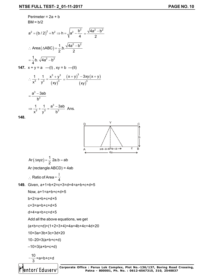Perimeter =  $2a + b$ 

 $BM = b/2$  $(b/2)^{2}$  $a^2 = (b / 2)^2 + h^2 \Rightarrow h = \sqrt{a^2 - \frac{b^2}{4}}$ 4  $= (b/2)^2 + h^2 \Rightarrow h = \sqrt{a^2 - \frac{b^2}{4}} = \frac{\sqrt{4a^2 - b^2}}{2}$ 2  $=\frac{\sqrt{4a^2-1}}{2}$ Area ( $\triangle ABC$ ) =  $\frac{1}{2}$ .b.  $\frac{\sqrt{4a^2-b^2}}{2}$ 2 2 ∴ Area ( $\triangle ABC$ ) =  $\frac{1}{2}$  b.  $\frac{\sqrt{4a^2-1}}{2}$  $\frac{1}{4}$ b.  $\sqrt{4a^2-b^2}$ 4 = — b. √4a<sup>2</sup> – ł **147.**  $x + y = a$  —(I),  $xy = b$  —(II)  $(xy)^{r}$  $3 \sqrt{3}$ 3  $\frac{3}{2}$   $\frac{3}{2}$   $\frac{3}{2}$ 1 1  $x^3 + y^3$  $x^3$  y<sup>3</sup> (xy  $\therefore \frac{1}{3} + \frac{1}{3} = \frac{x^3 + y^3}{(x - y)^3} = \frac{(x + y)^3 - 3xy(x + y)}{x^3}$ (xy) 3 3  $(x + y)$ <sup>o</sup> – 3xy (x + y ) xy  $+$  y) $\degree$   $-$  3xy ( x +  $\degree$  $=$ 3 3  $a^3 - 3ab$ b  $=\frac{a^3-1}{b}$ 3  $\frac{1}{a^3} + \frac{1}{b^3} = \frac{a^3 - 3ab}{b^3}$  Ans.  $\Rightarrow \frac{1}{3} + \frac{1}{3} = \frac{a^3 - b^3}{1}$ 

**148.**



Ar 
$$
(\triangle xyz)
$$
 =  $\frac{1}{2}$  2a.b = ab  
Ar (rectangle ABCD) = 4ab

 $x^3$  y<sup>3</sup> b<sup>3</sup>

$$
\therefore \text{ Ratio of Area} = \frac{1}{4}
$$

149. Given, 
$$
a+1=b+2=c+3=d+4=a+b+c+d+5
$$

Now, a+1=a+b+c+d+5

b+2=a+b+c+d+5

```
c+3=a+b+c+d+5
```
d+4=a+b+c+d+5

Add all the above equations, we get

(a+b+c+d)+(1+2+3+4)=4a+4b+4c+4d+20

10=3a+3b+3c+3d+20

10–20=3(a+b+c+d)

 $-10=3(a+b+c+d)$ 

$$
-\frac{10}{3} = a+b+c+d
$$

lentors<sup>®</sup> Eduserv®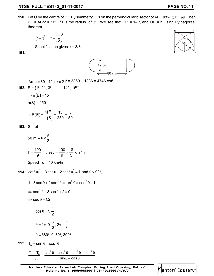**150.** Let O be the centre of  $\Gamma$ . By symmetry O is on the perpendicular bisector of AB. Draw  $\overline{OE} \perp AB$ . Then BE = AB/2 = 1/2. If r is the radius of  $\Gamma$ . We see that OB = 1– r, and OE = r. Using Pythagoras, theorem.

$$
\left(1-r\right)^2=r^2+\left(\frac{1}{2}\right)^2
$$

Simplification gives r = 3/8

**151.**



Area =  $80 \times 42 + \pi \times 21^2 = 3360 + 1386 = 4746$  cm<sup>2</sup>

**152.** 
$$
E = \{1^2, 2^2, 3^2, \dots, 14^2, 15^2\}
$$

$$
\Rightarrow n(E) = 15
$$

 $n(S) = 250$ 

$$
\therefore P(E) = \frac{n(E)}{n(S)} = \frac{15}{250} = \frac{3}{50}
$$

**153.** S = ut

$$
50 \text{ m} = u \times \frac{9}{2}
$$

$$
h = \frac{100}{9} \text{ m/sec} = \frac{100}{9} \times \frac{18}{5} \text{ km/hr}
$$

$$
Speed = u = 40 \text{ km/hr}
$$

**154.**  $\cot^2 \theta \left(1 - 3 \sec \theta + 2 \sec^2 \theta\right) = 1$  and  $\theta > 90^\circ$ ,  $1 - 3 \sec \theta + 2 \sec^2 \theta = \tan^2 \theta = \sec^2 \theta - 1$ 

$$
\Rightarrow \sec^2 \theta - 3 \sec \theta + 2 = 0
$$

 $\Rightarrow$  sec  $\theta$  = 1, 2

$$
\cos\theta=1,
$$

$$
\theta = 2\pi, 0, \frac{\pi}{3}, 2\pi - \frac{\pi}{3}
$$

$$
\theta = 360^{\circ}, 0, 60^{\circ}, 300^{\circ}
$$

1

2

**155.**  $T_n = \sin^n \theta + \cos^n \theta$ 

$$
\frac{T_3 - T_5}{T_1} = \frac{\sin^3 \theta + \cos^3 \theta - \sin^5 \theta - \cos^5 \theta}{\sin \theta + \cos \theta}
$$



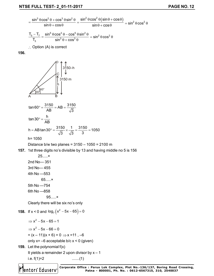$$
\frac{\sin^3 \theta \cos^2 \theta + \cos^3 \theta \sin^2 \theta}{\sin \theta + \cos \theta} = \frac{\sin^2 \theta \cos^2 \theta (\sin \theta + \cos \theta)}{\sin \theta + \cos \theta} = \sin^2 \theta \cos^2 \theta
$$
\n
$$
\frac{T_s - T_7}{T_3} = \frac{\sin^5 \theta \cos^2 \theta - \cos^5 \theta \sin^2 \theta}{\sin^3 \theta + \cos^3 \theta} = \sin^2 \theta \cos^2 \theta
$$
\n
$$
\therefore \text{ Option (A) is correct}
$$
\n**156.**\n
$$
\text{157. } \text{Option (A) is correct}
$$
\n
$$
\text{158. } \text{olution}
$$
\n
$$
\text{159. } \text{From the formula}
$$
\n
$$
\text{150. } \text{From the formula}
$$
\n
$$
\text{151. } \text{From the formula}
$$
\n
$$
\text{152. } \text{From the formula}
$$
\n
$$
\text{153. } \text{From the formula}
$$
\n
$$
\text{154. } \text{From the formula}
$$
\n
$$
\text{155. } \text{From the formula}
$$
\n
$$
\text{156. } \text{From the formula}
$$
\n
$$
\text{157. } \text{151. } \text{H the 155. } \text{H the 156. } \text{H the 157. } \text{H the 157. } \text{H the 158. } \text{H the 158. } \text{H the 159. } \text{H the 150. } \text{H the 151. } \text{H the 151. } \text{H the 152. } \text{H the 153. } \text{H the 154. } \text{H the 155. } \text{H the 156. } \text{H the 157. } \text{H the 158. } \text{H the 159. } \text{H the 150. } \text{H the 151. } \text{H the 152. } \text{H the 153. } \text{H the 154. } \text{H the 155. } \text{H the 156. } \text{H the 157. } \text{H the 158. } \text{H the 158. } \text
$$